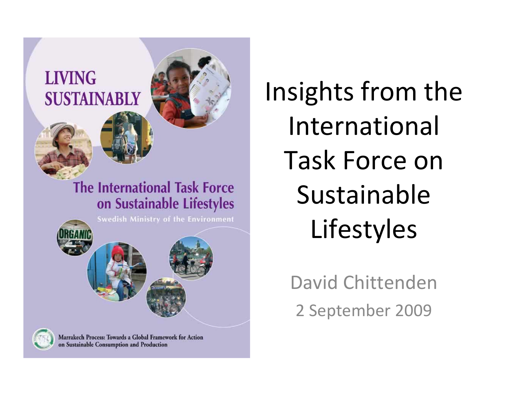

Marrakech Process: Towards a Global Framework for Action on Sustainable Consumption and Production

Insights from the International Task Force on Sustainable Lifestyles

> David Chittenden2 September 2009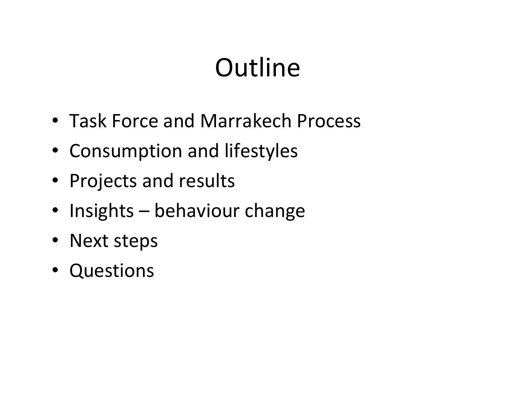# **Outline**

- Task Force and Marrakech Process
- Consumption and lifestyles
- Projects and results
- Insights behaviour change
- Next steps
- Questions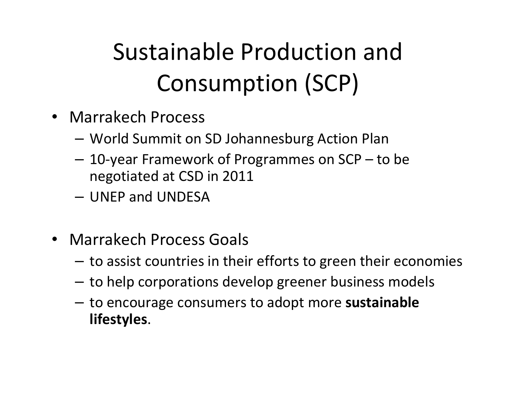## Sustainable Production and Consumption (SCP)

- Marrakech Process
	- **Links of the Common** World Summit on SD Johannesburg Action Plan
	- and the state of the 10-year Framework of Programmes on SCP – to be negotiated at CSD in 2011
	- –UNEP and UNDESA
- Marrakech Process Goals
	- and the state of the  $-$  to assist countries in their efforts to green their economies
	- **Links of the Common** to help corporations develop greener business model s
	- **Links of the Common**  to encourage consumers to adopt more sustainable lifestyles.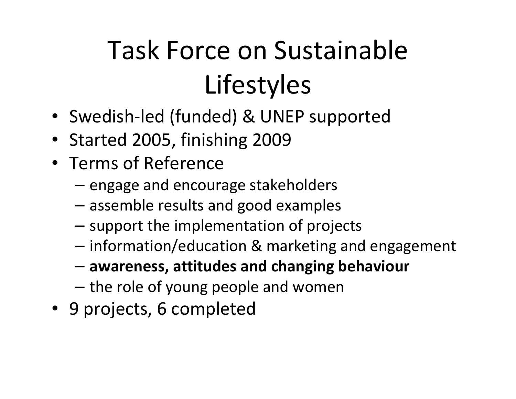# Task Force on Sustainable Lifestyles

- Swedish-led (funded) & UNEP supported
- Started 2005, finishing 2009
- Terms of Reference
	- engage and encourage stakeholders
	- and the state of the assemble results and good examples
	- support the implementation of projects
	- information/education & marketing and engagement
	- and the state of the awareness, attitudes and changing behaviour
	- $-$  the role of young people and women
- 9 projects, 6 completed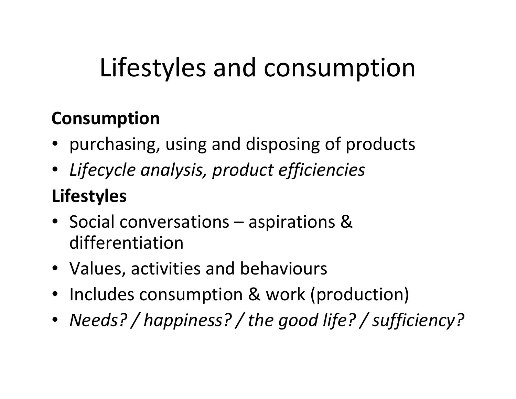# Lifestyles and consumption

#### Consumption

- purchasing, using and disposing of products
- Lifecycle analysis, product efficiencies

#### Lifestyles

- Social conversations aspirations & differentiation
- Values, activities and behaviours
- Includes consumption & work (production)
- Needs? / happiness? / the good life? / sufficiency?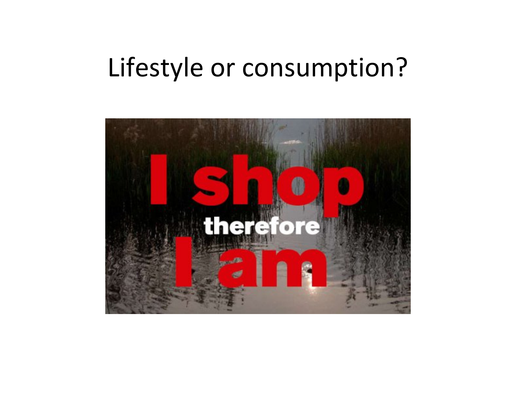### Lifestyle or consumption?

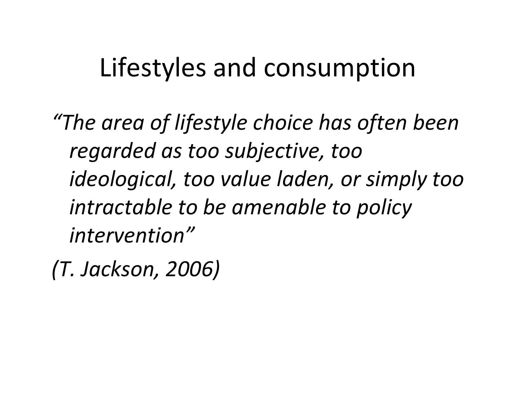### Lifestyles and consumption

"The area of lifestyle choice has often been regarded as too subjective, too ideological, too value laden, or simply too intractable to be amenable to policy intervention"

(T. Jackson, 2006)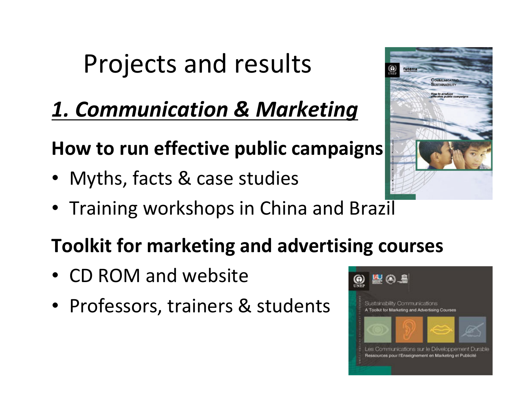### 1. Communication & Marketing

#### How to run effective public campaigns

- Myths, facts & case studies
- Training workshops in China and Brazil

#### Toolkit for marketing and advertising courses

- CD ROM and website
- Professors, trainers & students



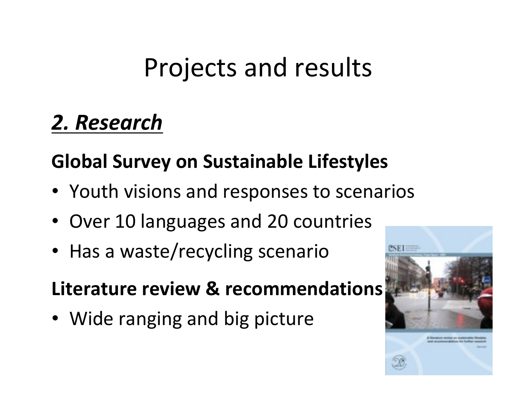### 2. Research

#### Global Survey on Sustainable Lifestyles

- Youth visions and responses to scenarios
- Over 10 languages and 20 countries
- Has a waste/recycling scenario

Literature review & recommendations

• Wide ranging and big picture

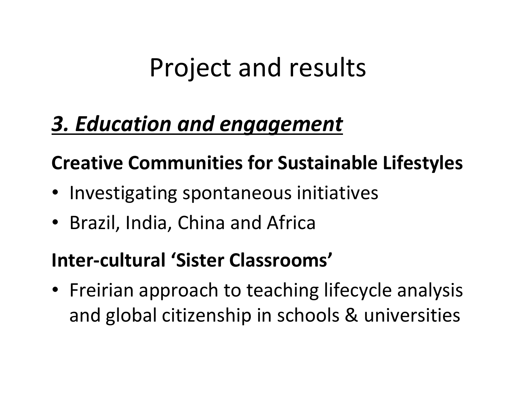#### 3. Education and engagement

#### Creative Communities for Sustainable Lifestyles

- Investigating spontaneous initiatives
- Brazil, India, China and Africa

#### Inter-cultural 'Sister Classrooms'

• Freirian approach to teaching lifecycle analysis and global citizenship in schools & universities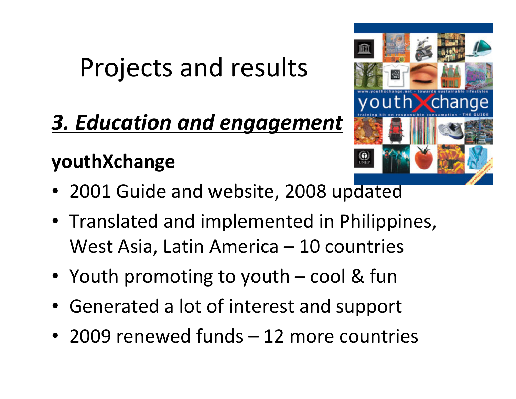### 3. Education and engagement

#### youthXchange

- 2001 Guide and website, 2008 updated
- Translated and implemented in Philippines, West Asia, Latin America – 10 countries
- Youth promoting to youth cool & fun
- Generated a lot of interest and support
- 2009 renewed funds 12 more countries

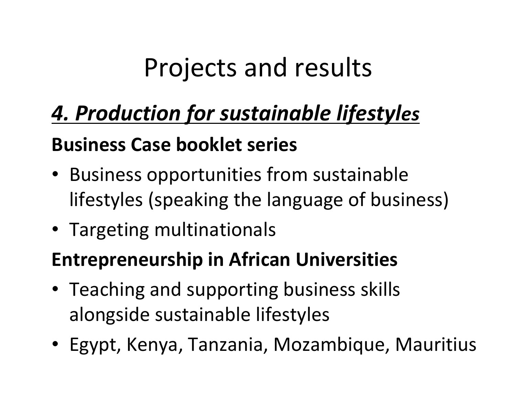### 4. Production for sustainable lifestyles

#### Business Case booklet series

- Business opportunities from sustainable lifestyles (speaking the language of business)
- Targeting multinationals

#### Entrepreneurship in African Universities

- Teaching and supporting business skills alongside sustainable lifestyles
- Egypt, Kenya, Tanzania, Mozambique, Mauritius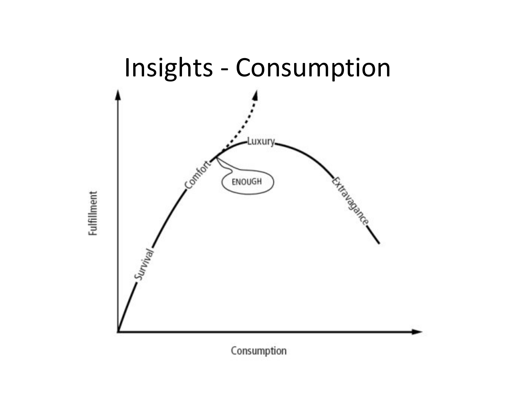

**Fulfillment** 

Consumption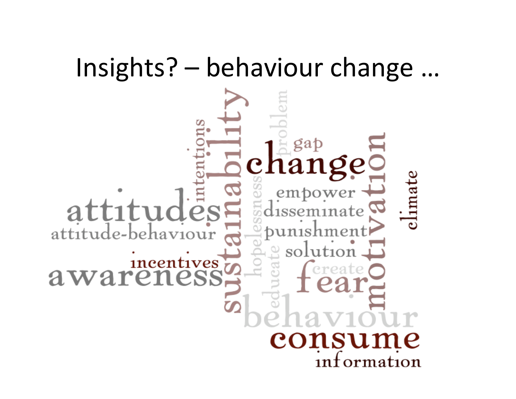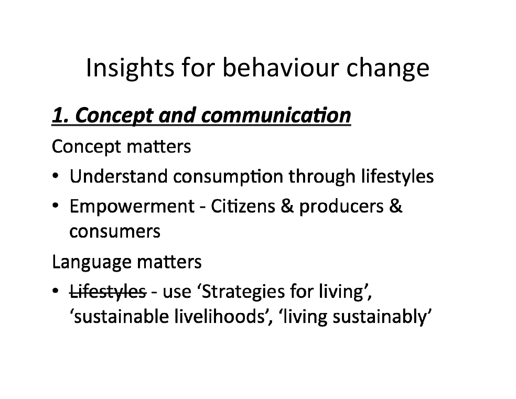# Insights for behaviour change

### 1. Concept and communication

**Concept matters** 

- Understand consumption through lifestyles
- Empowerment Citizens & producers & consumers

Language matters

• <del>Lifestyles</del> - use 'Strategies for living', 'sustainable livelihoods', 'living sustainably'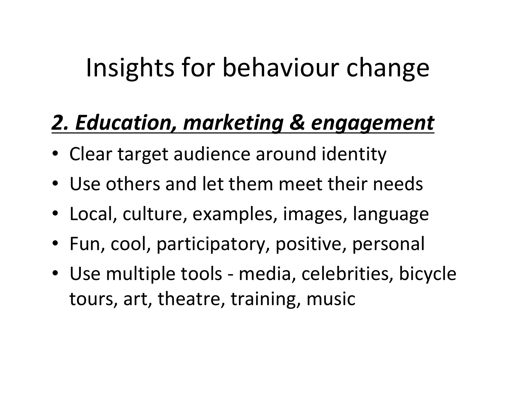# Insights for behaviour change

### 2. Education, marketing & engagement

- Clear target audience around identity
- Use others and let them meet their needs
- Local, culture, examples, images, language
- Fun, cool, participatory, positive, personal
- Use multiple tools media, celebrities, bicycle tours, art, theatre, training, music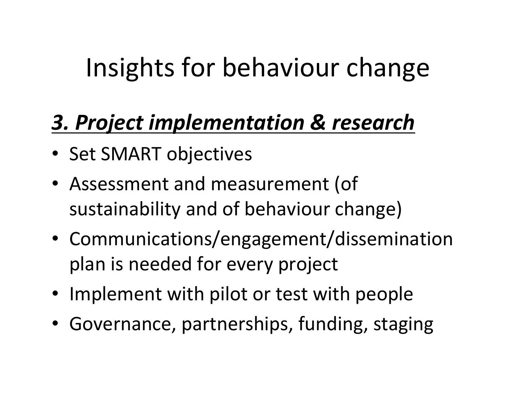# Insights for behaviour change

### 3. Project implementation & research

- Set SMART objectives
- Assessment and measurement (of sustainability and of behaviour change)
- Communications/engagement/dissemination plan is needed for every project
- Implement with pilot or test with people
- Governance, partnerships, funding, staging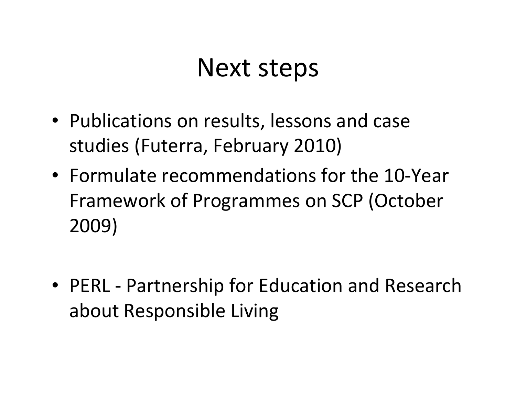### Next steps

- Publications on results, lessons and case studies (Futerra, February 2010)
- Formulate recommendations for the 10-Year Framework of Programmes on SCP (October 2009)
- PERL Partnership for Education and Research about Responsible Living